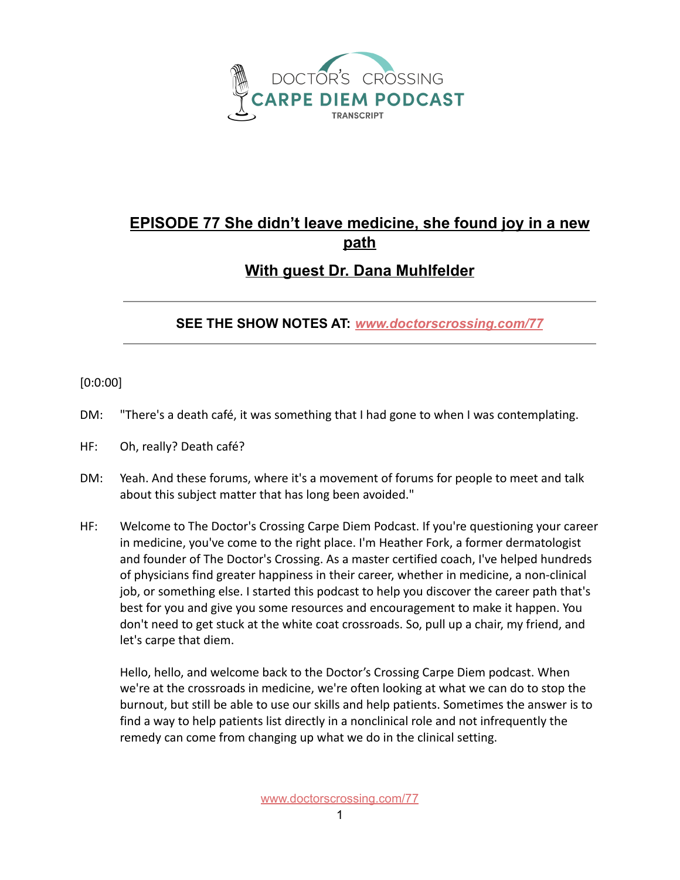

## **EPISODE 77 She didn't leave medicine, she found joy in a new path**

## **With guest Dr. Dana Muhlfelder**

**SEE THE SHOW NOTES AT:** *[www.doctorscrossing.com/77](http://www.doctorscrossing.com/77)*

[0:0:00]

- DM: "There's a death café, it was something that I had gone to when I was contemplating.
- HF: Oh, really? Death café?
- DM: Yeah. And these forums, where it's a movement of forums for people to meet and talk about this subject matter that has long been avoided."
- HF: Welcome to The Doctor's Crossing Carpe Diem Podcast. If you're questioning your career in medicine, you've come to the right place. I'm Heather Fork, a former dermatologist and founder of The Doctor's Crossing. As a master certified coach, I've helped hundreds of physicians find greater happiness in their career, whether in medicine, a non-clinical job, or something else. I started this podcast to help you discover the career path that's best for you and give you some resources and encouragement to make it happen. You don't need to get stuck at the white coat crossroads. So, pull up a chair, my friend, and let's carpe that diem.

Hello, hello, and welcome back to the Doctor's Crossing Carpe Diem podcast. When we're at the crossroads in medicine, we're often looking at what we can do to stop the burnout, but still be able to use our skills and help patients. Sometimes the answer is to find a way to help patients list directly in a nonclinical role and not infrequently the remedy can come from changing up what we do in the clinical setting.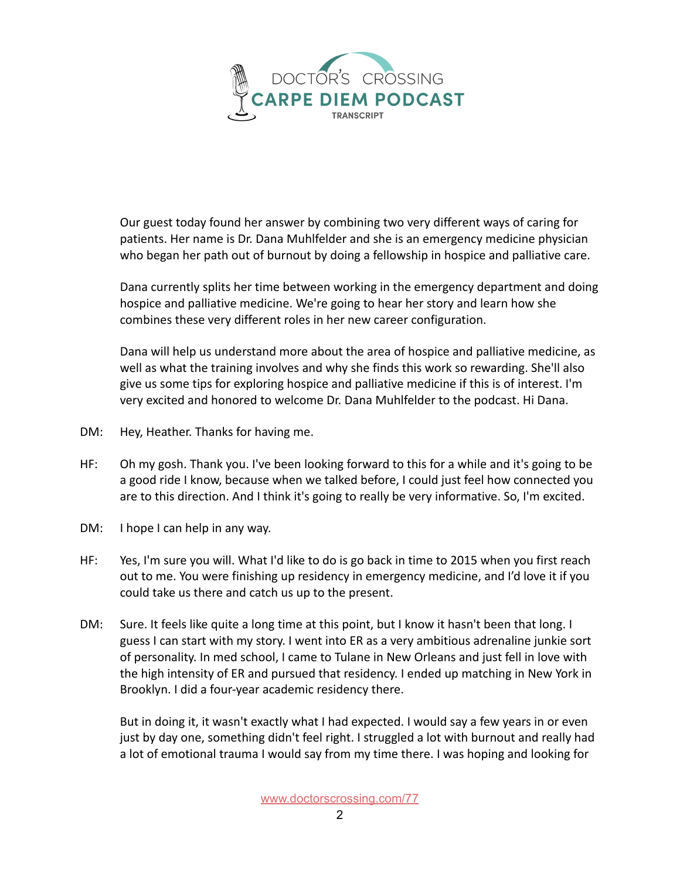

Our guest today found her answer by combining two very different ways of caring for patients. Her name is Dr. Dana Muhlfelder and she is an emergency medicine physician who began her path out of burnout by doing a fellowship in hospice and palliative care.

Dana currently splits her time between working in the emergency department and doing hospice and palliative medicine. We're going to hear her story and learn how she combines these very different roles in her new career configuration.

Dana will help us understand more about the area of hospice and palliative medicine, as well as what the training involves and why she finds this work so rewarding. She'll also give us some tips for exploring hospice and palliative medicine if this is of interest. I'm very excited and honored to welcome Dr. Dana Muhlfelder to the podcast. Hi Dana.

- DM: Hey, Heather. Thanks for having me.
- HF: Oh my gosh. Thank you. I've been looking forward to this for a while and it's going to be a good ride I know, because when we talked before, I could just feel how connected you are to this direction. And I think it's going to really be very informative. So, I'm excited.
- DM: I hope I can help in any way.
- HF: Yes, I'm sure you will. What I'd like to do is go back in time to 2015 when you first reach out to me. You were finishing up residency in emergency medicine, and I'd love it if you could take us there and catch us up to the present.
- DM: Sure. It feels like quite a long time at this point, but I know it hasn't been that long. I guess I can start with my story. I went into ER as a very ambitious adrenaline junkie sort of personality. In med school, I came to Tulane in New Orleans and just fell in love with the high intensity of ER and pursued that residency. I ended up matching in New York in Brooklyn. I did a four-year academic residency there.

But in doing it, it wasn't exactly what I had expected. I would say a few years in or even just by day one, something didn't feel right. I struggled a lot with burnout and really had a lot of emotional trauma I would say from my time there. I was hoping and looking for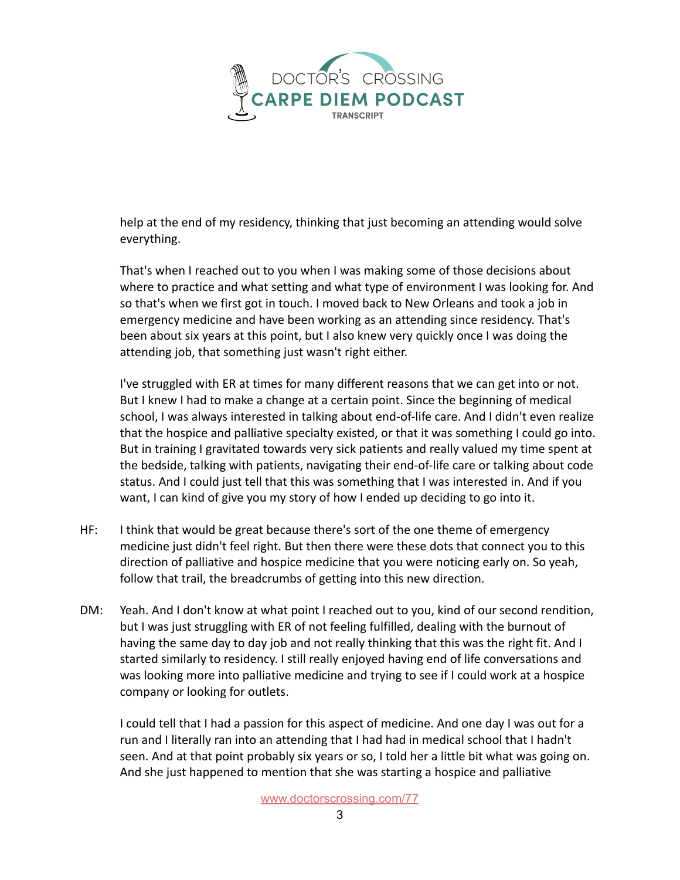

help at the end of my residency, thinking that just becoming an attending would solve everything.

That's when I reached out to you when I was making some of those decisions about where to practice and what setting and what type of environment I was looking for. And so that's when we first got in touch. I moved back to New Orleans and took a job in emergency medicine and have been working as an attending since residency. That's been about six years at this point, but I also knew very quickly once I was doing the attending job, that something just wasn't right either.

I've struggled with ER at times for many different reasons that we can get into or not. But I knew I had to make a change at a certain point. Since the beginning of medical school, I was always interested in talking about end-of-life care. And I didn't even realize that the hospice and palliative specialty existed, or that it was something I could go into. But in training I gravitated towards very sick patients and really valued my time spent at the bedside, talking with patients, navigating their end-of-life care or talking about code status. And I could just tell that this was something that I was interested in. And if you want, I can kind of give you my story of how I ended up deciding to go into it.

- HF: I think that would be great because there's sort of the one theme of emergency medicine just didn't feel right. But then there were these dots that connect you to this direction of palliative and hospice medicine that you were noticing early on. So yeah, follow that trail, the breadcrumbs of getting into this new direction.
- DM: Yeah. And I don't know at what point I reached out to you, kind of our second rendition, but I was just struggling with ER of not feeling fulfilled, dealing with the burnout of having the same day to day job and not really thinking that this was the right fit. And I started similarly to residency. I still really enjoyed having end of life conversations and was looking more into palliative medicine and trying to see if I could work at a hospice company or looking for outlets.

I could tell that I had a passion for this aspect of medicine. And one day I was out for a run and I literally ran into an attending that I had had in medical school that I hadn't seen. And at that point probably six years or so, I told her a little bit what was going on. And she just happened to mention that she was starting a hospice and palliative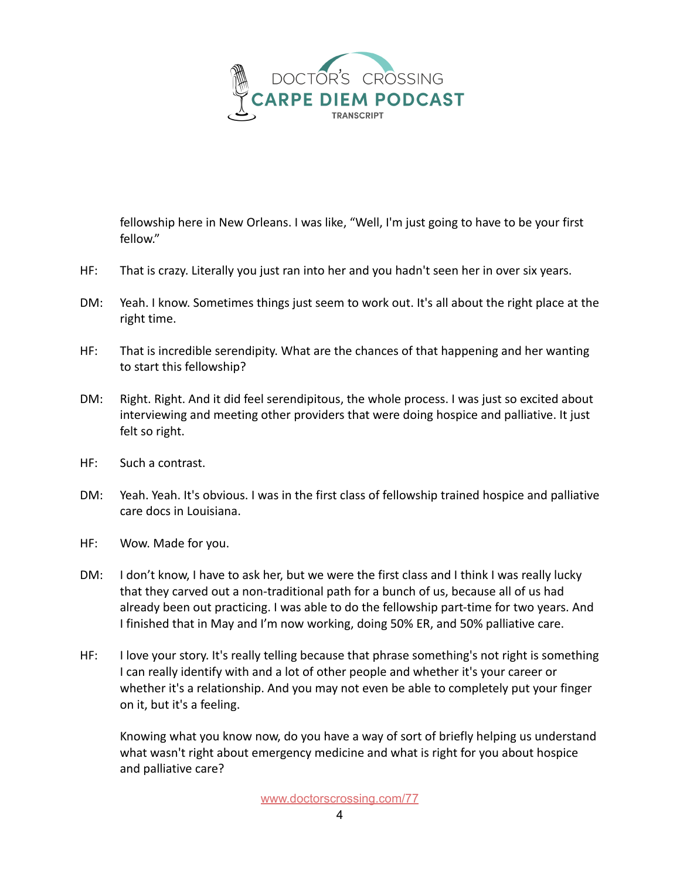

fellowship here in New Orleans. I was like, "Well, I'm just going to have to be your first fellow."

- HF: That is crazy. Literally you just ran into her and you hadn't seen her in over six years.
- DM: Yeah. I know. Sometimes things just seem to work out. It's all about the right place at the right time.
- HF: That is incredible serendipity. What are the chances of that happening and her wanting to start this fellowship?
- DM: Right. Right. And it did feel serendipitous, the whole process. I was just so excited about interviewing and meeting other providers that were doing hospice and palliative. It just felt so right.
- HF: Such a contrast.
- DM: Yeah. Yeah. It's obvious. I was in the first class of fellowship trained hospice and palliative care docs in Louisiana.
- HF: Wow. Made for you.
- DM: I don't know, I have to ask her, but we were the first class and I think I was really lucky that they carved out a non-traditional path for a bunch of us, because all of us had already been out practicing. I was able to do the fellowship part-time for two years. And I finished that in May and I'm now working, doing 50% ER, and 50% palliative care.
- HF: I love your story. It's really telling because that phrase something's not right is something I can really identify with and a lot of other people and whether it's your career or whether it's a relationship. And you may not even be able to completely put your finger on it, but it's a feeling.

Knowing what you know now, do you have a way of sort of briefly helping us understand what wasn't right about emergency medicine and what is right for you about hospice and palliative care?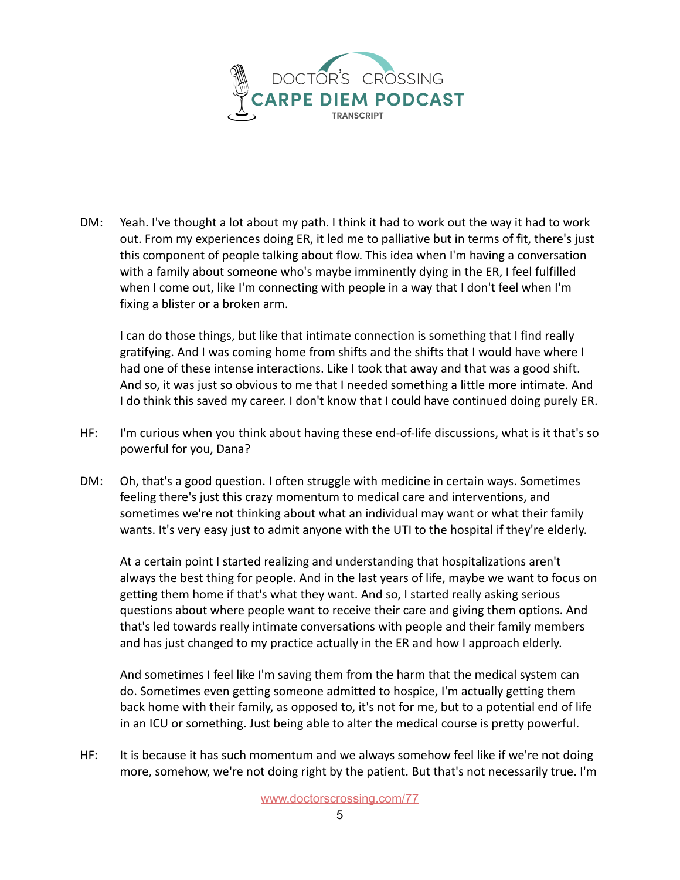

DM: Yeah. I've thought a lot about my path. I think it had to work out the way it had to work out. From my experiences doing ER, it led me to palliative but in terms of fit, there's just this component of people talking about flow. This idea when I'm having a conversation with a family about someone who's maybe imminently dying in the ER, I feel fulfilled when I come out, like I'm connecting with people in a way that I don't feel when I'm fixing a blister or a broken arm.

I can do those things, but like that intimate connection is something that I find really gratifying. And I was coming home from shifts and the shifts that I would have where I had one of these intense interactions. Like I took that away and that was a good shift. And so, it was just so obvious to me that I needed something a little more intimate. And I do think this saved my career. I don't know that I could have continued doing purely ER.

- HF: I'm curious when you think about having these end-of-life discussions, what is it that's so powerful for you, Dana?
- DM: Oh, that's a good question. I often struggle with medicine in certain ways. Sometimes feeling there's just this crazy momentum to medical care and interventions, and sometimes we're not thinking about what an individual may want or what their family wants. It's very easy just to admit anyone with the UTI to the hospital if they're elderly.

At a certain point I started realizing and understanding that hospitalizations aren't always the best thing for people. And in the last years of life, maybe we want to focus on getting them home if that's what they want. And so, I started really asking serious questions about where people want to receive their care and giving them options. And that's led towards really intimate conversations with people and their family members and has just changed to my practice actually in the ER and how I approach elderly.

And sometimes I feel like I'm saving them from the harm that the medical system can do. Sometimes even getting someone admitted to hospice, I'm actually getting them back home with their family, as opposed to, it's not for me, but to a potential end of life in an ICU or something. Just being able to alter the medical course is pretty powerful.

HF: It is because it has such momentum and we always somehow feel like if we're not doing more, somehow, we're not doing right by the patient. But that's not necessarily true. I'm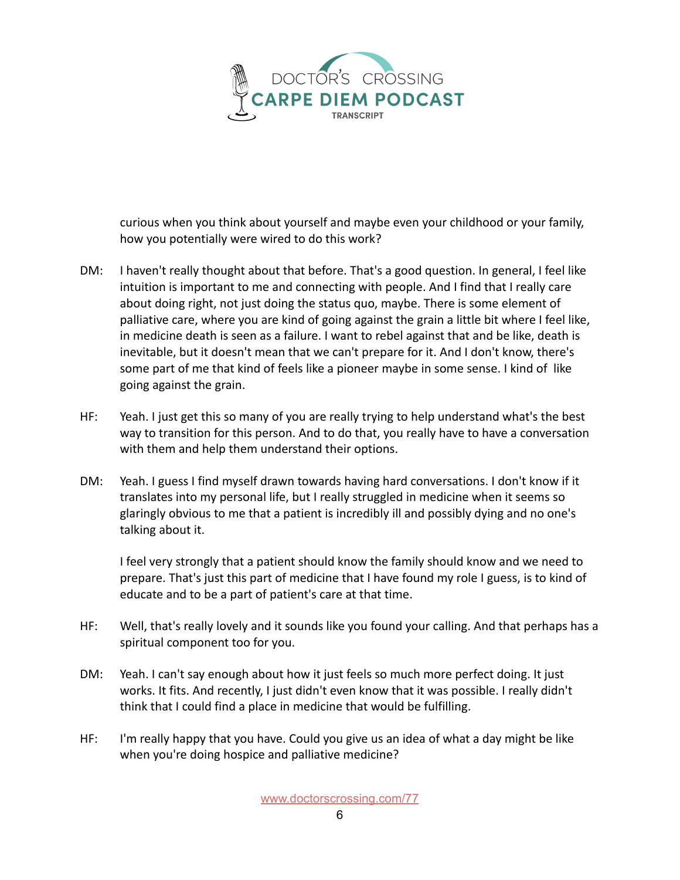

curious when you think about yourself and maybe even your childhood or your family, how you potentially were wired to do this work?

- DM: I haven't really thought about that before. That's a good question. In general, I feel like intuition is important to me and connecting with people. And I find that I really care about doing right, not just doing the status quo, maybe. There is some element of palliative care, where you are kind of going against the grain a little bit where I feel like, in medicine death is seen as a failure. I want to rebel against that and be like, death is inevitable, but it doesn't mean that we can't prepare for it. And I don't know, there's some part of me that kind of feels like a pioneer maybe in some sense. I kind of like going against the grain.
- HF: Yeah. I just get this so many of you are really trying to help understand what's the best way to transition for this person. And to do that, you really have to have a conversation with them and help them understand their options.
- DM: Yeah. I guess I find myself drawn towards having hard conversations. I don't know if it translates into my personal life, but I really struggled in medicine when it seems so glaringly obvious to me that a patient is incredibly ill and possibly dying and no one's talking about it.

I feel very strongly that a patient should know the family should know and we need to prepare. That's just this part of medicine that I have found my role I guess, is to kind of educate and to be a part of patient's care at that time.

- HF: Well, that's really lovely and it sounds like you found your calling. And that perhaps has a spiritual component too for you.
- DM: Yeah. I can't say enough about how it just feels so much more perfect doing. It just works. It fits. And recently, I just didn't even know that it was possible. I really didn't think that I could find a place in medicine that would be fulfilling.
- HF: I'm really happy that you have. Could you give us an idea of what a day might be like when you're doing hospice and palliative medicine?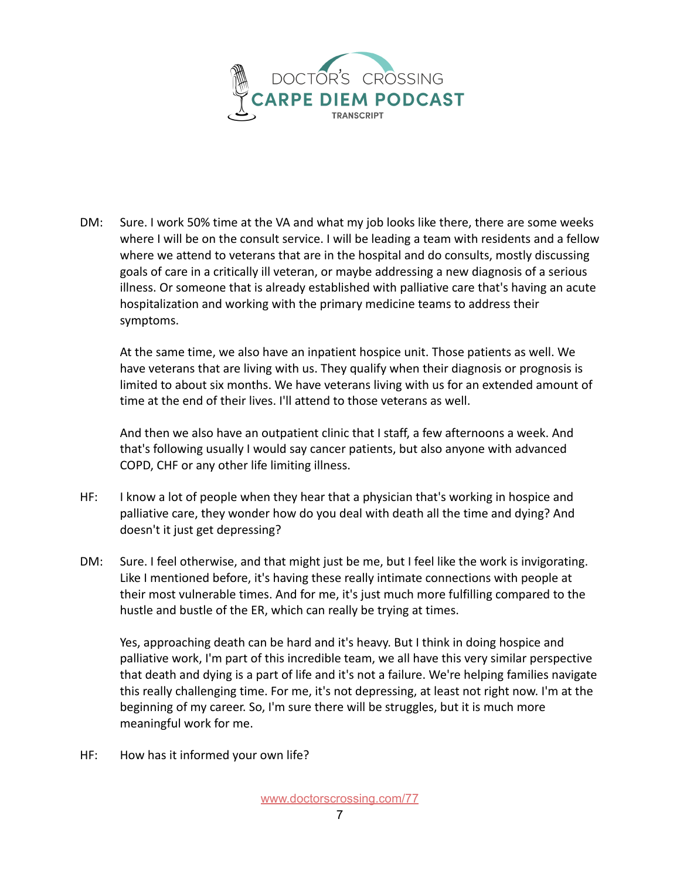

DM: Sure. I work 50% time at the VA and what my job looks like there, there are some weeks where I will be on the consult service. I will be leading a team with residents and a fellow where we attend to veterans that are in the hospital and do consults, mostly discussing goals of care in a critically ill veteran, or maybe addressing a new diagnosis of a serious illness. Or someone that is already established with palliative care that's having an acute hospitalization and working with the primary medicine teams to address their symptoms.

At the same time, we also have an inpatient hospice unit. Those patients as well. We have veterans that are living with us. They qualify when their diagnosis or prognosis is limited to about six months. We have veterans living with us for an extended amount of time at the end of their lives. I'll attend to those veterans as well.

And then we also have an outpatient clinic that I staff, a few afternoons a week. And that's following usually I would say cancer patients, but also anyone with advanced COPD, CHF or any other life limiting illness.

- HF: I know a lot of people when they hear that a physician that's working in hospice and palliative care, they wonder how do you deal with death all the time and dying? And doesn't it just get depressing?
- DM: Sure. I feel otherwise, and that might just be me, but I feel like the work is invigorating. Like I mentioned before, it's having these really intimate connections with people at their most vulnerable times. And for me, it's just much more fulfilling compared to the hustle and bustle of the ER, which can really be trying at times.

Yes, approaching death can be hard and it's heavy. But I think in doing hospice and palliative work, I'm part of this incredible team, we all have this very similar perspective that death and dying is a part of life and it's not a failure. We're helping families navigate this really challenging time. For me, it's not depressing, at least not right now. I'm at the beginning of my career. So, I'm sure there will be struggles, but it is much more meaningful work for me.

HF: How has it informed your own life?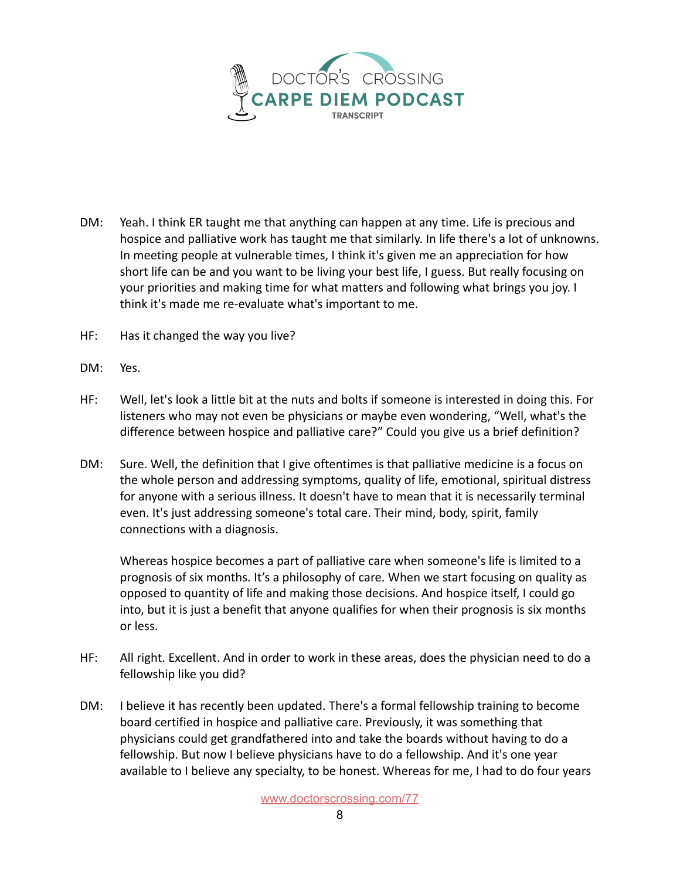

- DM: Yeah. I think ER taught me that anything can happen at any time. Life is precious and hospice and palliative work has taught me that similarly. In life there's a lot of unknowns. In meeting people at vulnerable times, I think it's given me an appreciation for how short life can be and you want to be living your best life, I guess. But really focusing on your priorities and making time for what matters and following what brings you joy. I think it's made me re-evaluate what's important to me.
- HF: Has it changed the way you live?
- DM: Yes.
- HF: Well, let's look a little bit at the nuts and bolts if someone is interested in doing this. For listeners who may not even be physicians or maybe even wondering, "Well, what's the difference between hospice and palliative care?" Could you give us a brief definition?
- DM: Sure. Well, the definition that I give oftentimes is that palliative medicine is a focus on the whole person and addressing symptoms, quality of life, emotional, spiritual distress for anyone with a serious illness. It doesn't have to mean that it is necessarily terminal even. It's just addressing someone's total care. Their mind, body, spirit, family connections with a diagnosis.

Whereas hospice becomes a part of palliative care when someone's life is limited to a prognosis of six months. It's a philosophy of care. When we start focusing on quality as opposed to quantity of life and making those decisions. And hospice itself, I could go into, but it is just a benefit that anyone qualifies for when their prognosis is six months or less.

- HF: All right. Excellent. And in order to work in these areas, does the physician need to do a fellowship like you did?
- DM: I believe it has recently been updated. There's a formal fellowship training to become board certified in hospice and palliative care. Previously, it was something that physicians could get grandfathered into and take the boards without having to do a fellowship. But now I believe physicians have to do a fellowship. And it's one year available to I believe any specialty, to be honest. Whereas for me, I had to do four years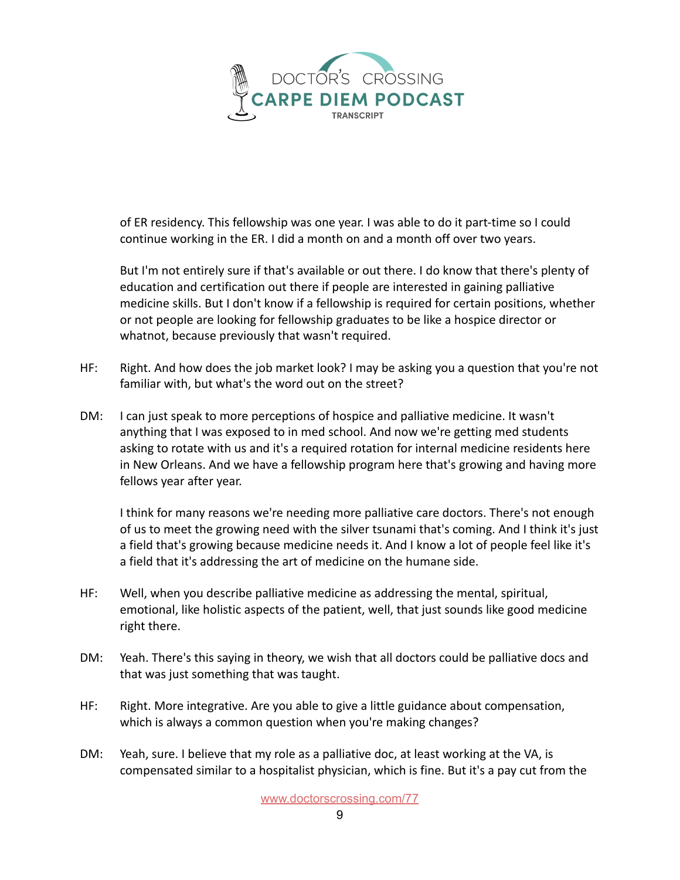

of ER residency. This fellowship was one year. I was able to do it part-time so I could continue working in the ER. I did a month on and a month off over two years.

But I'm not entirely sure if that's available or out there. I do know that there's plenty of education and certification out there if people are interested in gaining palliative medicine skills. But I don't know if a fellowship is required for certain positions, whether or not people are looking for fellowship graduates to be like a hospice director or whatnot, because previously that wasn't required.

- HF: Right. And how does the job market look? I may be asking you a question that you're not familiar with, but what's the word out on the street?
- DM: I can just speak to more perceptions of hospice and palliative medicine. It wasn't anything that I was exposed to in med school. And now we're getting med students asking to rotate with us and it's a required rotation for internal medicine residents here in New Orleans. And we have a fellowship program here that's growing and having more fellows year after year.

I think for many reasons we're needing more palliative care doctors. There's not enough of us to meet the growing need with the silver tsunami that's coming. And I think it's just a field that's growing because medicine needs it. And I know a lot of people feel like it's a field that it's addressing the art of medicine on the humane side.

- HF: Well, when you describe palliative medicine as addressing the mental, spiritual, emotional, like holistic aspects of the patient, well, that just sounds like good medicine right there.
- DM: Yeah. There's this saying in theory, we wish that all doctors could be palliative docs and that was just something that was taught.
- HF: Right. More integrative. Are you able to give a little guidance about compensation, which is always a common question when you're making changes?
- DM: Yeah, sure. I believe that my role as a palliative doc, at least working at the VA, is compensated similar to a hospitalist physician, which is fine. But it's a pay cut from the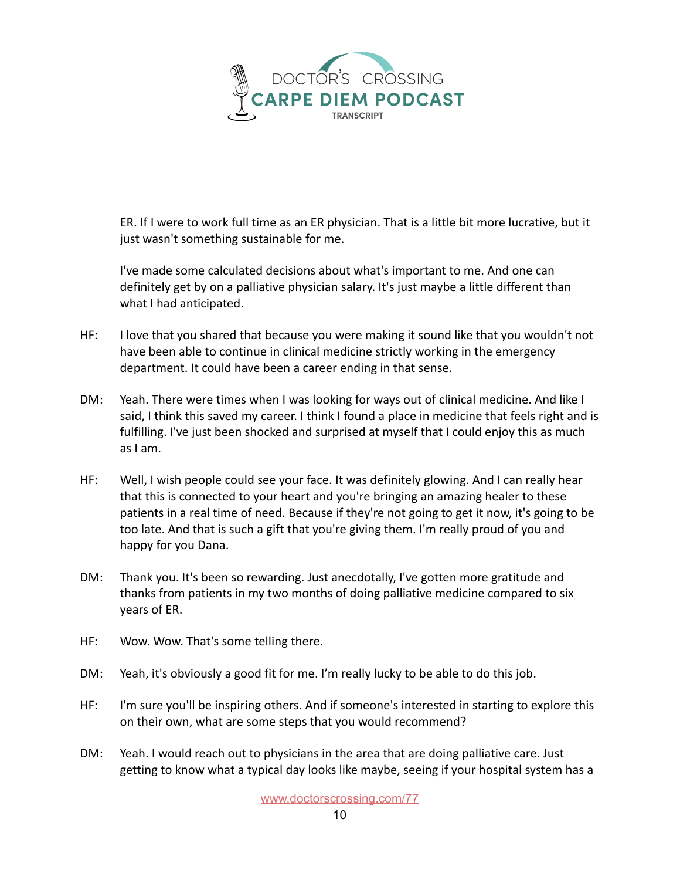

ER. If I were to work full time as an ER physician. That is a little bit more lucrative, but it just wasn't something sustainable for me.

I've made some calculated decisions about what's important to me. And one can definitely get by on a palliative physician salary. It's just maybe a little different than what I had anticipated.

- HF: I love that you shared that because you were making it sound like that you wouldn't not have been able to continue in clinical medicine strictly working in the emergency department. It could have been a career ending in that sense.
- DM: Yeah. There were times when I was looking for ways out of clinical medicine. And like I said, I think this saved my career. I think I found a place in medicine that feels right and is fulfilling. I've just been shocked and surprised at myself that I could enjoy this as much as I am.
- HF: Well, I wish people could see your face. It was definitely glowing. And I can really hear that this is connected to your heart and you're bringing an amazing healer to these patients in a real time of need. Because if they're not going to get it now, it's going to be too late. And that is such a gift that you're giving them. I'm really proud of you and happy for you Dana.
- DM: Thank you. It's been so rewarding. Just anecdotally, I've gotten more gratitude and thanks from patients in my two months of doing palliative medicine compared to six years of ER.
- HF: Wow. Wow. That's some telling there.
- DM: Yeah, it's obviously a good fit for me. I'm really lucky to be able to do this job.
- HF: I'm sure you'll be inspiring others. And if someone's interested in starting to explore this on their own, what are some steps that you would recommend?
- DM: Yeah. I would reach out to physicians in the area that are doing palliative care. Just getting to know what a typical day looks like maybe, seeing if your hospital system has a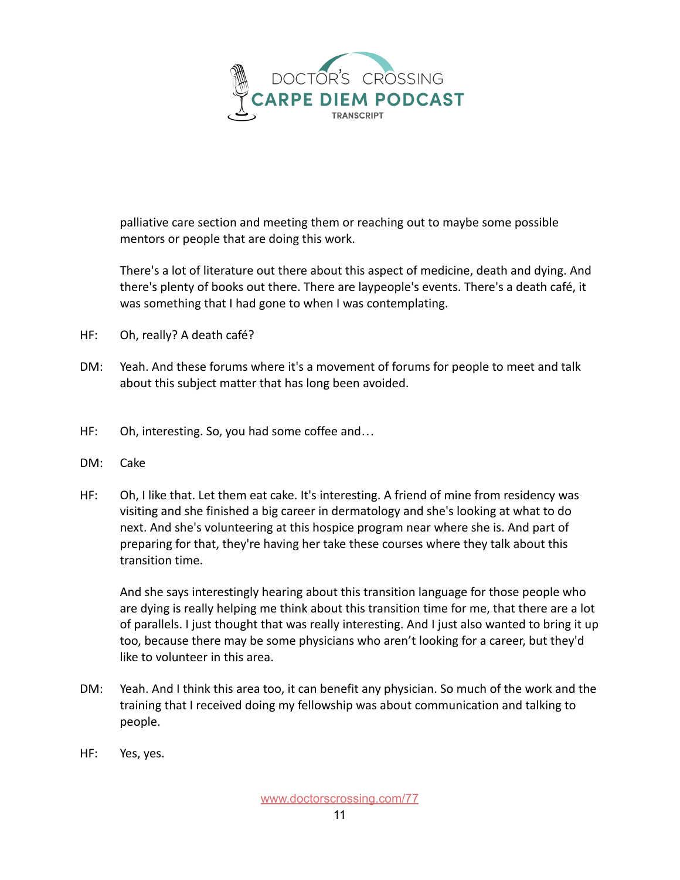

palliative care section and meeting them or reaching out to maybe some possible mentors or people that are doing this work.

There's a lot of literature out there about this aspect of medicine, death and dying. And there's plenty of books out there. There are laypeople's events. There's a death café, it was something that I had gone to when I was contemplating.

- HF: Oh, really? A death café?
- DM: Yeah. And these forums where it's a movement of forums for people to meet and talk about this subject matter that has long been avoided.
- HF: Oh, interesting. So, you had some coffee and…
- DM: Cake
- HF: Oh, I like that. Let them eat cake. It's interesting. A friend of mine from residency was visiting and she finished a big career in dermatology and she's looking at what to do next. And she's volunteering at this hospice program near where she is. And part of preparing for that, they're having her take these courses where they talk about this transition time.

And she says interestingly hearing about this transition language for those people who are dying is really helping me think about this transition time for me, that there are a lot of parallels. I just thought that was really interesting. And I just also wanted to bring it up too, because there may be some physicians who aren't looking for a career, but they'd like to volunteer in this area.

- DM: Yeah. And I think this area too, it can benefit any physician. So much of the work and the training that I received doing my fellowship was about communication and talking to people.
- HF: Yes, yes.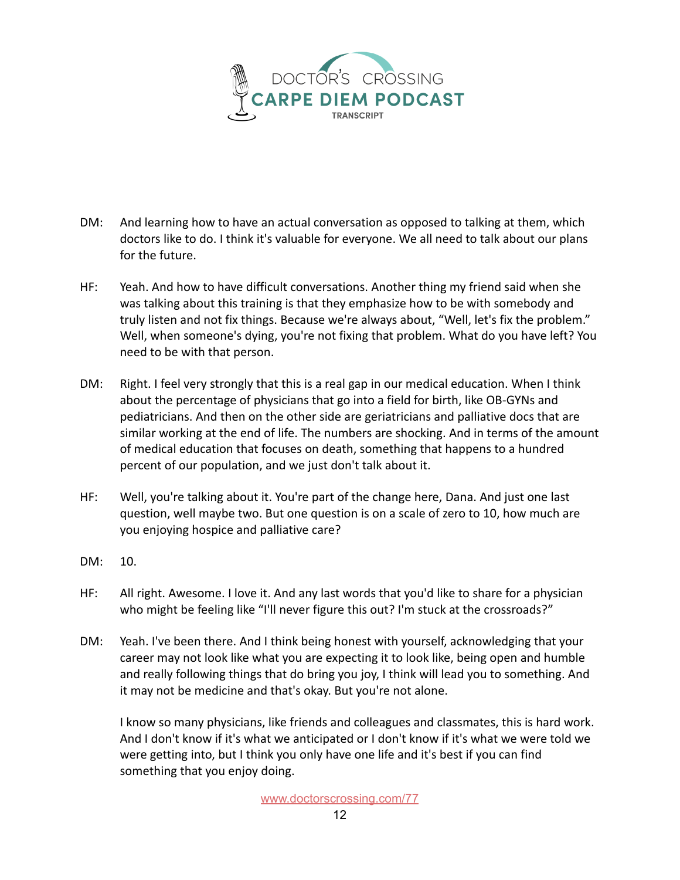

- DM: And learning how to have an actual conversation as opposed to talking at them, which doctors like to do. I think it's valuable for everyone. We all need to talk about our plans for the future.
- HF: Yeah. And how to have difficult conversations. Another thing my friend said when she was talking about this training is that they emphasize how to be with somebody and truly listen and not fix things. Because we're always about, "Well, let's fix the problem." Well, when someone's dying, you're not fixing that problem. What do you have left? You need to be with that person.
- DM: Right. I feel very strongly that this is a real gap in our medical education. When I think about the percentage of physicians that go into a field for birth, like OB-GYNs and pediatricians. And then on the other side are geriatricians and palliative docs that are similar working at the end of life. The numbers are shocking. And in terms of the amount of medical education that focuses on death, something that happens to a hundred percent of our population, and we just don't talk about it.
- HF: Well, you're talking about it. You're part of the change here, Dana. And just one last question, well maybe two. But one question is on a scale of zero to 10, how much are you enjoying hospice and palliative care?
- DM: 10.
- HF: All right. Awesome. I love it. And any last words that you'd like to share for a physician who might be feeling like "I'll never figure this out? I'm stuck at the crossroads?"
- DM: Yeah. I've been there. And I think being honest with yourself, acknowledging that your career may not look like what you are expecting it to look like, being open and humble and really following things that do bring you joy, I think will lead you to something. And it may not be medicine and that's okay. But you're not alone.

I know so many physicians, like friends and colleagues and classmates, this is hard work. And I don't know if it's what we anticipated or I don't know if it's what we were told we were getting into, but I think you only have one life and it's best if you can find something that you enjoy doing.